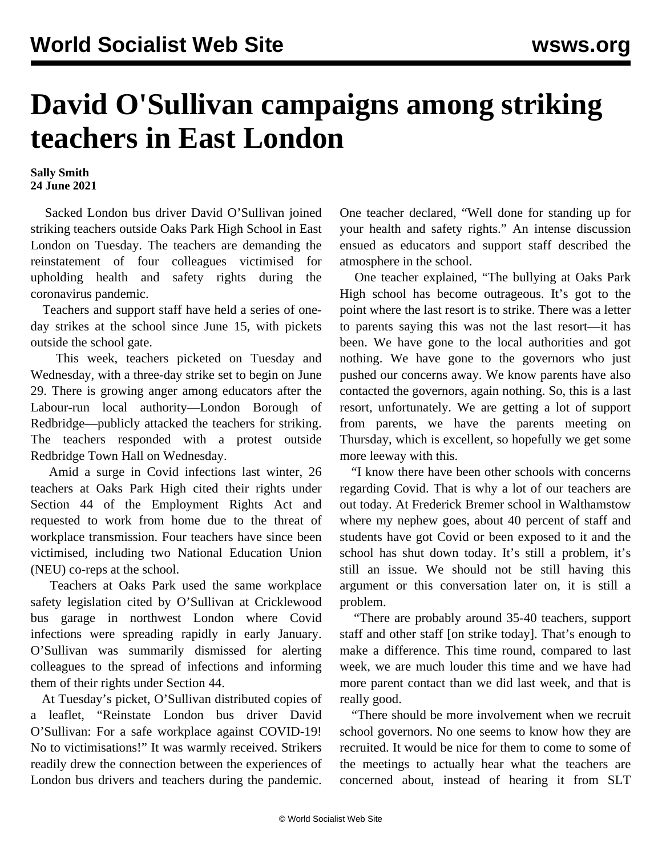## **David O'Sullivan campaigns among striking teachers in East London**

## **Sally Smith 24 June 2021**

 Sacked London bus driver David O'Sullivan joined striking teachers outside Oaks Park High School in East London on Tuesday. The teachers are demanding the reinstatement of four colleagues victimised for upholding health and safety rights during the coronavirus pandemic.

 Teachers and support staff have held a series of oneday strikes at the school since June 15, with pickets outside the school gate.

 This week, teachers picketed on Tuesday and Wednesday, with a three-day strike set to begin on June 29. There is growing anger among educators after the Labour-run local authority—London Borough of Redbridge—publicly attacked the teachers for striking. The teachers responded with a [protest outside](/en/articles/2021/06/25/redb-j25.html) [Redbridge Town Hall](/en/articles/2021/06/25/redb-j25.html) on Wednesday.

 Amid a surge in Covid infections last winter, 26 teachers at Oaks Park High cited their rights under Section 44 of the Employment Rights Act and requested to work from home due to the threat of workplace transmission. Four teachers have since been victimised, including two National Education Union (NEU) co-reps at the school.

 Teachers at Oaks Park used the same workplace safety legislation cited by O'Sullivan at Cricklewood bus garage in northwest London where Covid infections were spreading rapidly in early January. O'Sullivan was summarily dismissed for alerting colleagues to the spread of infections and informing them of their rights under Section 44.

 At Tuesday's picket, O'Sullivan distributed copies of a leaflet, "Reinstate London bus driver David O'Sullivan: For a safe workplace against COVID-19! No to victimisations!" It was warmly received. Strikers readily drew the connection between the experiences of London bus drivers and teachers during the pandemic.

One teacher declared, "Well done for standing up for your health and safety rights." An intense discussion ensued as educators and support staff described the atmosphere in the school.

 One teacher explained, "The bullying at Oaks Park High school has become outrageous. It's got to the point where the last resort is to strike. There was a letter to parents saying this was not the last resort—it has been. We have gone to the local authorities and got nothing. We have gone to the governors who just pushed our concerns away. We know parents have also contacted the governors, again nothing. So, this is a last resort, unfortunately. We are getting a lot of support from parents, we have the parents meeting on Thursday, which is excellent, so hopefully we get some more leeway with this.

 "I know there have been other schools with concerns regarding Covid. That is why a lot of our teachers are out today. At Frederick Bremer school in Walthamstow where my nephew goes, about 40 percent of staff and students have got Covid or been exposed to it and the school has shut down today. It's still a problem, it's still an issue. We should not be still having this argument or this conversation later on, it is still a problem.

 "There are probably around 35-40 teachers, support staff and other staff [on strike today]. That's enough to make a difference. This time round, compared to last week, we are much louder this time and we have had more parent contact than we did last week, and that is really good.

 "There should be more involvement when we recruit school governors. No one seems to know how they are recruited. It would be nice for them to come to some of the meetings to actually hear what the teachers are concerned about, instead of hearing it from SLT